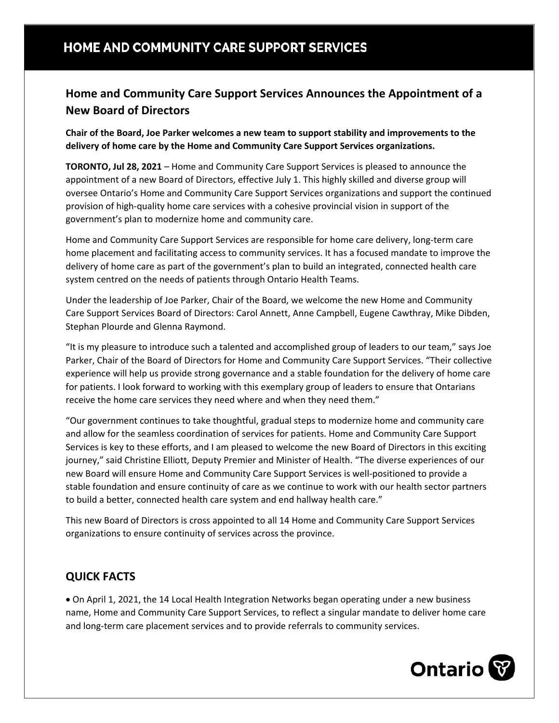# HOME AND COMMUNITY CARE SUPPORT SERVICES

## **Home and Community Care Support Services Announces the Appointment of a New Board of Directors**

**Chair of the Board, Joe Parker welcomes a new team to support stability and improvements to the delivery of home care by the Home and Community Care Support Services organizations.**

**TORONTO, Jul 28, 2021** – Home and Community Care Support Services is pleased to announce the appointment of a new Board of Directors, effective July 1. This highly skilled and diverse group will oversee Ontario's Home and Community Care Support Services organizations and support the continued provision of high-quality home care services with a cohesive provincial vision in support of the government's plan to modernize home and community care.

Home and Community Care Support Services are responsible for home care delivery, long-term care home placement and facilitating access to community services. It has a focused mandate to improve the delivery of home care as part of the government's plan to build an integrated, connected health care system centred on the needs of patients through Ontario Health Teams.

Under the leadership of Joe Parker, Chair of the Board, we welcome the new Home and Community Care Support Services Board of Directors: Carol Annett, Anne Campbell, Eugene Cawthray, Mike Dibden, Stephan Plourde and Glenna Raymond.

"It is my pleasure to introduce such a talented and accomplished group of leaders to our team," says Joe Parker, Chair of the Board of Directors for Home and Community Care Support Services. "Their collective experience will help us provide strong governance and a stable foundation for the delivery of home care for patients. I look forward to working with this exemplary group of leaders to ensure that Ontarians receive the home care services they need where and when they need them."

"Our government continues to take thoughtful, gradual steps to modernize home and community care and allow for the seamless coordination of services for patients. Home and Community Care Support Services is key to these efforts, and I am pleased to welcome the new Board of Directors in this exciting journey," said Christine Elliott, Deputy Premier and Minister of Health. "The diverse experiences of our new Board will ensure Home and Community Care Support Services is well-positioned to provide a stable foundation and ensure continuity of care as we continue to work with our health sector partners to build a better, connected health care system and end hallway health care."

This new Board of Directors is cross appointed to all 14 Home and Community Care Support Services organizations to ensure continuity of services across the province.

### **QUICK FACTS**

• On April 1, 2021, the 14 Local Health Integration Networks began operating under a new business name, Home and Community Care Support Services, to reflect a singular mandate to deliver home care and long-term care placement services and to provide referrals to community services.

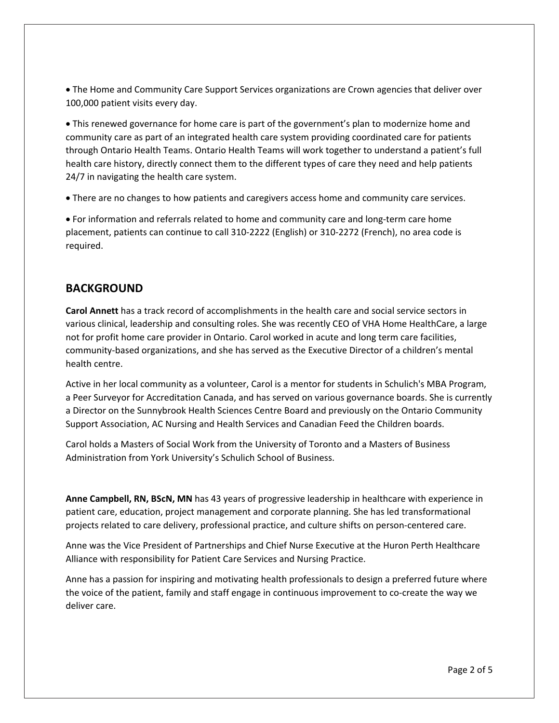• The Home and Community Care Support Services organizations are Crown agencies that deliver over 100,000 patient visits every day.

• This renewed governance for home care is part of the government's plan to modernize home and community care as part of an integrated health care system providing coordinated care for patients through Ontario Health Teams. Ontario Health Teams will work together to understand a patient's full health care history, directly connect them to the different types of care they need and help patients 24/7 in navigating the health care system.

• There are no changes to how patients and caregivers access home and community care services.

• For information and referrals related to home and community care and long-term care home placement, patients can continue to call 310-2222 (English) or 310-2272 (French), no area code is required.

### **BACKGROUND**

**Carol Annett** has a track record of accomplishments in the health care and social service sectors in various clinical, leadership and consulting roles. She was recently CEO of VHA Home HealthCare, a large not for profit home care provider in Ontario. Carol worked in acute and long term care facilities, community-based organizations, and she has served as the Executive Director of a children's mental health centre.

Active in her local community as a volunteer, Carol is a mentor for students in Schulich's MBA Program, a Peer Surveyor for Accreditation Canada, and has served on various governance boards. She is currently a Director on the Sunnybrook Health Sciences Centre Board and previously on the Ontario Community Support Association, AC Nursing and Health Services and Canadian Feed the Children boards.

Carol holds a Masters of Social Work from the University of Toronto and a Masters of Business Administration from York University's Schulich School of Business.

**Anne Campbell, RN, BScN, MN** has 43 years of progressive leadership in healthcare with experience in patient care, education, project management and corporate planning. She has led transformational projects related to care delivery, professional practice, and culture shifts on person-centered care.

Anne was the Vice President of Partnerships and Chief Nurse Executive at the Huron Perth Healthcare Alliance with responsibility for Patient Care Services and Nursing Practice.

Anne has a passion for inspiring and motivating health professionals to design a preferred future where the voice of the patient, family and staff engage in continuous improvement to co-create the way we deliver care.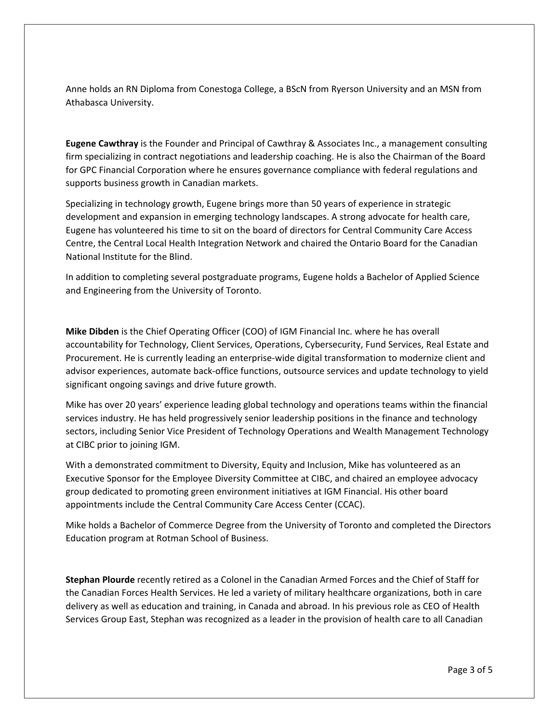Anne holds an RN Diploma from Conestoga College, a BScN from Ryerson University and an MSN from Athabasca University.

**Eugene Cawthray** is the Founder and Principal of Cawthray & Associates Inc., a management consulting firm specializing in contract negotiations and leadership coaching. He is also the Chairman of the Board for GPC Financial Corporation where he ensures governance compliance with federal regulations and supports business growth in Canadian markets.

Specializing in technology growth, Eugene brings more than 50 years of experience in strategic development and expansion in emerging technology landscapes. A strong advocate for health care, Eugene has volunteered his time to sit on the board of directors for Central Community Care Access Centre, the Central Local Health Integration Network and chaired the Ontario Board for the Canadian National Institute for the Blind.

In addition to completing several postgraduate programs, Eugene holds a Bachelor of Applied Science and Engineering from the University of Toronto.

**Mike Dibden** is the Chief Operating Officer (COO) of IGM Financial Inc. where he has overall accountability for Technology, Client Services, Operations, Cybersecurity, Fund Services, Real Estate and Procurement. He is currently leading an enterprise-wide digital transformation to modernize client and advisor experiences, automate back-office functions, outsource services and update technology to yield significant ongoing savings and drive future growth.

Mike has over 20 years' experience leading global technology and operations teams within the financial services industry. He has held progressively senior leadership positions in the finance and technology sectors, including Senior Vice President of Technology Operations and Wealth Management Technology at CIBC prior to joining IGM.

With a demonstrated commitment to Diversity, Equity and Inclusion, Mike has volunteered as an Executive Sponsor for the Employee Diversity Committee at CIBC, and chaired an employee advocacy group dedicated to promoting green environment initiatives at IGM Financial. His other board appointments include the Central Community Care Access Center (CCAC).

Mike holds a Bachelor of Commerce Degree from the University of Toronto and completed the Directors Education program at Rotman School of Business.

**Stephan Plourde** recently retired as a Colonel in the Canadian Armed Forces and the Chief of Staff for the Canadian Forces Health Services. He led a variety of military healthcare organizations, both in care delivery as well as education and training, in Canada and abroad. In his previous role as CEO of Health Services Group East, Stephan was recognized as a leader in the provision of health care to all Canadian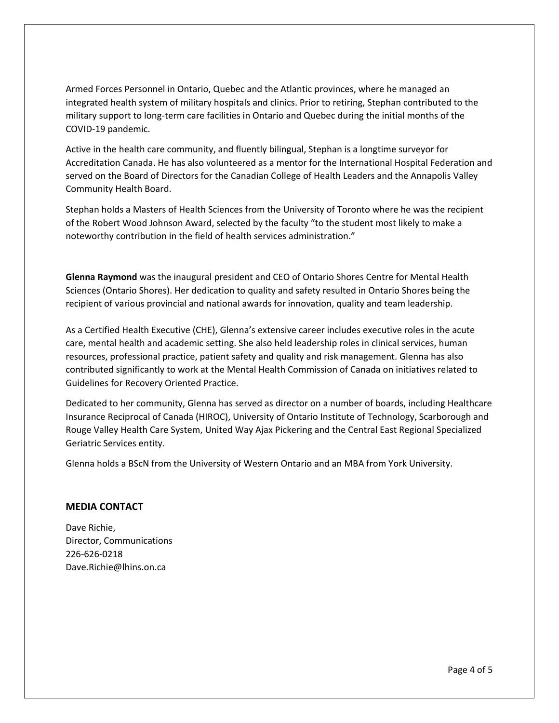Armed Forces Personnel in Ontario, Quebec and the Atlantic provinces, where he managed an integrated health system of military hospitals and clinics. Prior to retiring, Stephan contributed to the military support to long-term care facilities in Ontario and Quebec during the initial months of the COVID-19 pandemic.

Active in the health care community, and fluently bilingual, Stephan is a longtime surveyor for Accreditation Canada. He has also volunteered as a mentor for the International Hospital Federation and served on the Board of Directors for the Canadian College of Health Leaders and the Annapolis Valley Community Health Board.

Stephan holds a Masters of Health Sciences from the University of Toronto where he was the recipient of the Robert Wood Johnson Award, selected by the faculty "to the student most likely to make a noteworthy contribution in the field of health services administration."

**Glenna Raymond** was the inaugural president and CEO of Ontario Shores Centre for Mental Health Sciences (Ontario Shores). Her dedication to quality and safety resulted in Ontario Shores being the recipient of various provincial and national awards for innovation, quality and team leadership.

As a Certified Health Executive (CHE), Glenna's extensive career includes executive roles in the acute care, mental health and academic setting. She also held leadership roles in clinical services, human resources, professional practice, patient safety and quality and risk management. Glenna has also contributed significantly to work at the Mental Health Commission of Canada on initiatives related to Guidelines for Recovery Oriented Practice.

Dedicated to her community, Glenna has served as director on a number of boards, including Healthcare Insurance Reciprocal of Canada (HIROC), University of Ontario Institute of Technology, Scarborough and Rouge Valley Health Care System, United Way Ajax Pickering and the Central East Regional Specialized Geriatric Services entity.

Glenna holds a BScN from the University of Western Ontario and an MBA from York University.

#### **MEDIA CONTACT**

Dave Richie, Director, Communications 226-626-0218 Dave.Richie@lhins.on.ca